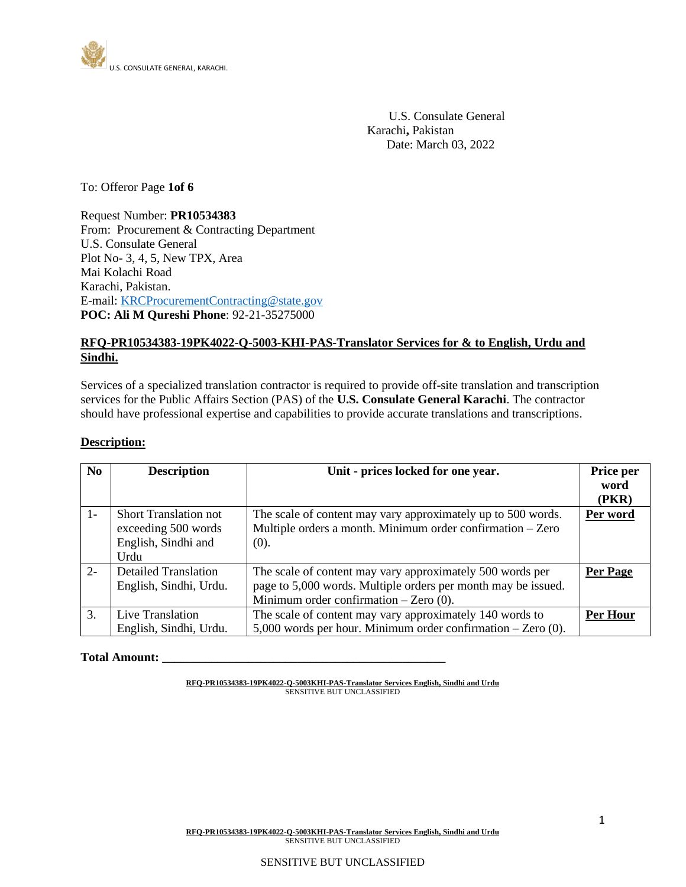

 U.S. Consulate General Karachi**,** Pakistan Date: March 03, 2022

To: Offeror Page **1of 6**

Request Number: **PR10534383** From: Procurement & Contracting Department U.S. Consulate General Plot No- 3, 4, 5, New TPX, Area Mai Kolachi Road Karachi, Pakistan. E-mail[: KRCProcurementContracting@state.gov](mailto:KRCProcurementContracting@state.gov) **POC: Ali M Qureshi Phone**: 92-21-35275000

# **RFQ-PR10534383-19PK4022-Q-5003-KHI-PAS-Translator Services for & to English, Urdu and Sindhi.**

Services of a specialized translation contractor is required to provide off-site translation and transcription services for the Public Affairs Section (PAS) of the **U.S. Consulate General Karachi**. The contractor should have professional expertise and capabilities to provide accurate translations and transcriptions.

#### **Description:**

| $\bf No$ | <b>Description</b>           | Unit - prices locked for one year.                             | Price per |
|----------|------------------------------|----------------------------------------------------------------|-----------|
|          |                              |                                                                | word      |
|          |                              |                                                                | (PKR)     |
| $1-$     | <b>Short Translation not</b> | The scale of content may vary approximately up to 500 words.   | Per word  |
|          | exceeding 500 words          | Multiple orders a month. Minimum order confirmation – Zero     |           |
|          | English, Sindhi and          | (0).                                                           |           |
|          | Urdu                         |                                                                |           |
| $2 -$    | <b>Detailed Translation</b>  | The scale of content may vary approximately 500 words per      | Per Page  |
|          | English, Sindhi, Urdu.       | page to 5,000 words. Multiple orders per month may be issued.  |           |
|          |                              | Minimum order confirmation $-Zero(0)$ .                        |           |
| 3.       | Live Translation             | The scale of content may vary approximately 140 words to       | Per Hour  |
|          | English, Sindhi, Urdu.       | 5,000 words per hour. Minimum order confirmation $-$ Zero (0). |           |

#### **Total Amount: \_\_\_\_\_\_\_\_\_\_\_\_\_\_\_\_\_\_\_\_\_\_\_\_\_\_\_\_\_\_\_\_\_\_\_\_\_\_\_\_\_\_\_\_\_\_**

**RFQ-PR10534383-19PK4022-Q-5003KHI-PAS-Translator Services English, Sindhi and Urdu** SENSITIVE BUT UNCLASSIFIED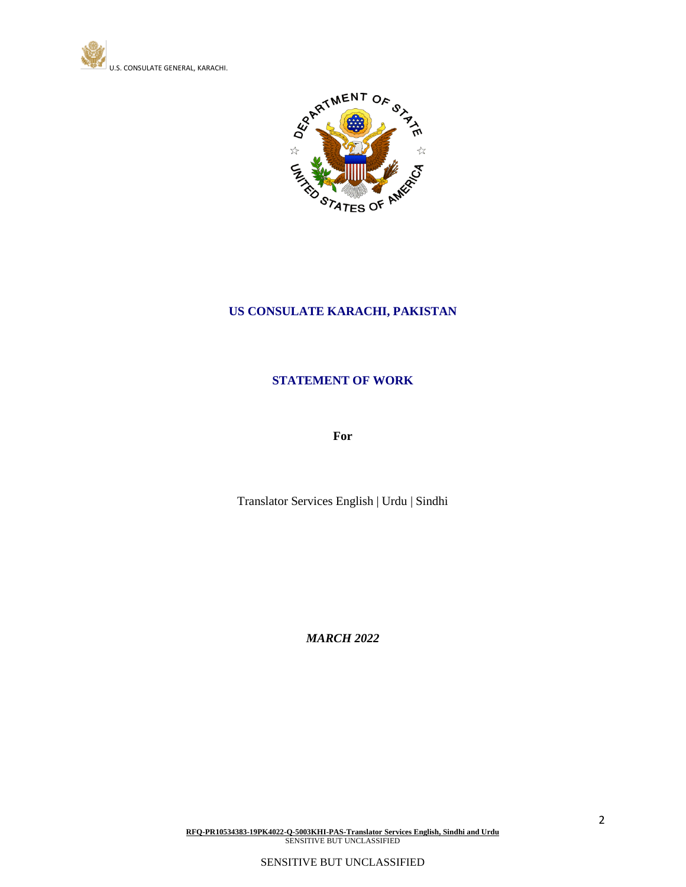



# **US CONSULATE KARACHI, PAKISTAN**

# **STATEMENT OF WORK**

**For**

Translator Services English | Urdu | Sindhi

*MARCH 2022*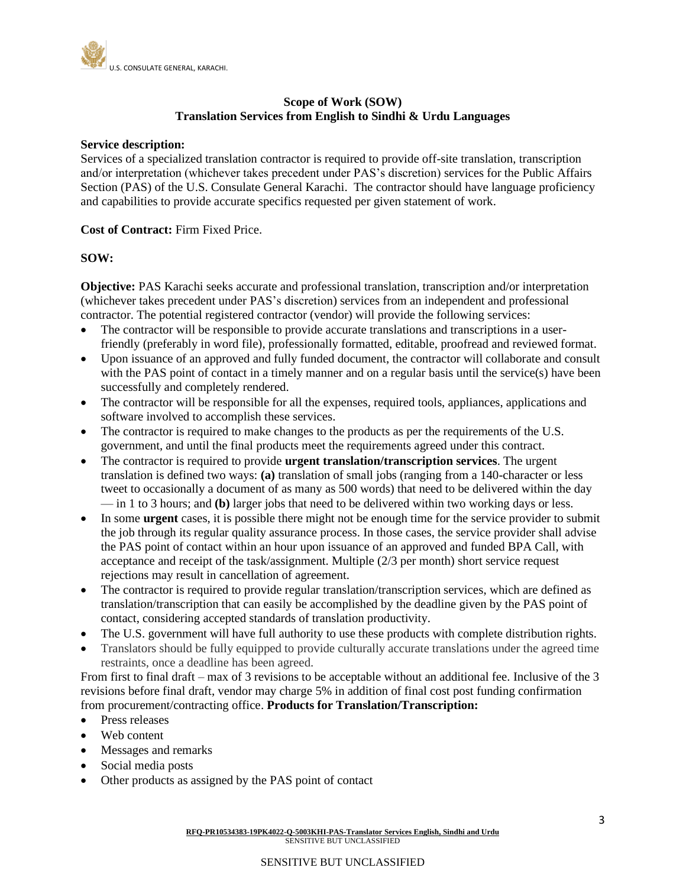

# **Scope of Work (SOW) Translation Services from English to Sindhi & Urdu Languages**

#### **Service description:**

Services of a specialized translation contractor is required to provide off-site translation, transcription and/or interpretation (whichever takes precedent under PAS's discretion) services for the Public Affairs Section (PAS) of the U.S. Consulate General Karachi. The contractor should have language proficiency and capabilities to provide accurate specifics requested per given statement of work.

#### **Cost of Contract:** Firm Fixed Price.

## **SOW:**

**Objective:** PAS Karachi seeks accurate and professional translation, transcription and/or interpretation (whichever takes precedent under PAS's discretion) services from an independent and professional contractor. The potential registered contractor (vendor) will provide the following services:

- The contractor will be responsible to provide accurate translations and transcriptions in a userfriendly (preferably in word file), professionally formatted, editable, proofread and reviewed format.
- Upon issuance of an approved and fully funded document, the contractor will collaborate and consult with the PAS point of contact in a timely manner and on a regular basis until the service(s) have been successfully and completely rendered.
- The contractor will be responsible for all the expenses, required tools, appliances, applications and software involved to accomplish these services.
- The contractor is required to make changes to the products as per the requirements of the U.S. government, and until the final products meet the requirements agreed under this contract.
- The contractor is required to provide **urgent translation/transcription services**. The urgent translation is defined two ways: **(a)** translation of small jobs (ranging from a 140-character or less tweet to occasionally a document of as many as 500 words) that need to be delivered within the day — in 1 to 3 hours; and **(b)** larger jobs that need to be delivered within two working days or less.
- In some **urgent** cases, it is possible there might not be enough time for the service provider to submit the job through its regular quality assurance process. In those cases, the service provider shall advise the PAS point of contact within an hour upon issuance of an approved and funded BPA Call, with acceptance and receipt of the task/assignment. Multiple (2/3 per month) short service request rejections may result in cancellation of agreement.
- The contractor is required to provide regular translation/transcription services, which are defined as translation/transcription that can easily be accomplished by the deadline given by the PAS point of contact, considering accepted standards of translation productivity.
- The U.S. government will have full authority to use these products with complete distribution rights.
- Translators should be fully equipped to provide culturally accurate translations under the agreed time restraints, once a deadline has been agreed.

From first to final draft – max of 3 revisions to be acceptable without an additional fee. Inclusive of the 3 revisions before final draft, vendor may charge 5% in addition of final cost post funding confirmation from procurement/contracting office. **Products for Translation/Transcription:** 

- Press releases
- Web content
- Messages and remarks
- Social media posts
- Other products as assigned by the PAS point of contact

## SENSITIVE BUT UNCLASSIFIED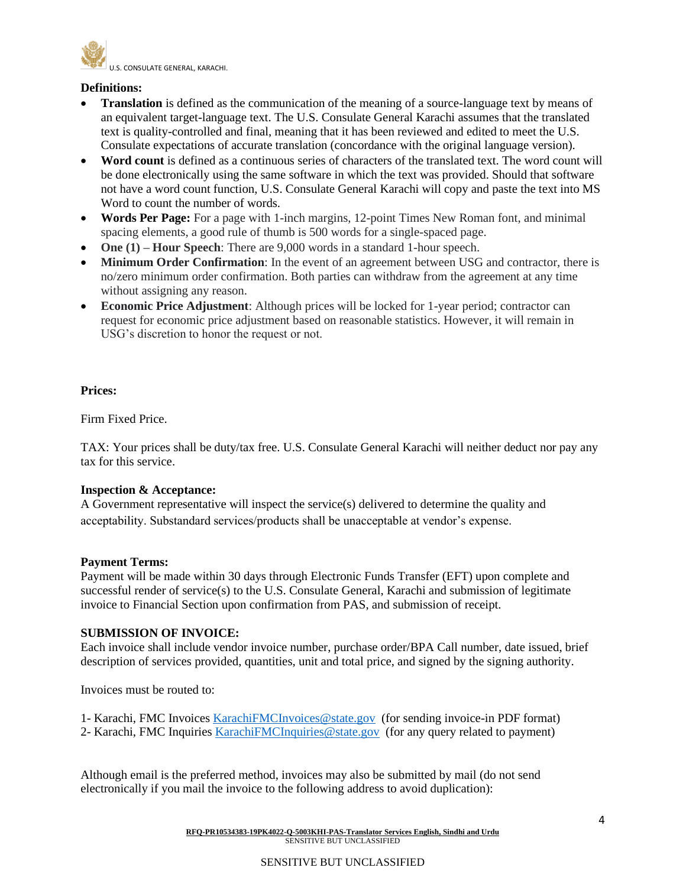

# **Definitions:**

- **Translation** is defined as the communication of the meaning of a source-language text by means of an equivalent target-language text. The U.S. Consulate General Karachi assumes that the translated text is quality-controlled and final, meaning that it has been reviewed and edited to meet the U.S. Consulate expectations of accurate translation (concordance with the original language version).
- **Word count** is defined as a continuous series of characters of the translated text. The word count will be done electronically using the same software in which the text was provided. Should that software not have a word count function, U.S. Consulate General Karachi will copy and paste the text into MS Word to count the number of words.
- **Words Per Page:** For a page with 1-inch margins, 12-point Times New Roman font, and minimal spacing elements, a good rule of thumb is 500 words for a single-spaced page.
- **One (1) Hour Speech**: There are 9,000 words in a standard 1-hour speech.
- **Minimum Order Confirmation**: In the event of an agreement between USG and contractor, there is no/zero minimum order confirmation. Both parties can withdraw from the agreement at any time without assigning any reason.
- **Economic Price Adjustment:** Although prices will be locked for 1-year period; contractor can request for economic price adjustment based on reasonable statistics. However, it will remain in USG's discretion to honor the request or not.

# **Prices:**

Firm Fixed Price.

TAX: Your prices shall be duty/tax free. U.S. Consulate General Karachi will neither deduct nor pay any tax for this service.

## **Inspection & Acceptance:**

A Government representative will inspect the service(s) delivered to determine the quality and acceptability. Substandard services/products shall be unacceptable at vendor's expense.

## **Payment Terms:**

Payment will be made within 30 days through Electronic Funds Transfer (EFT) upon complete and successful render of service(s) to the U.S. Consulate General, Karachi and submission of legitimate invoice to Financial Section upon confirmation from PAS, and submission of receipt.

## **SUBMISSION OF INVOICE:**

Each invoice shall include vendor invoice number, purchase order/BPA Call number, date issued, brief description of services provided, quantities, unit and total price, and signed by the signing authority.

Invoices must be routed to:

- 1- Karachi, FMC Invoices [KarachiFMCInvoices@state.gov](mailto:KarachiFMCInvoices@state.gov) (for sending invoice-in PDF format)
- 2- Karachi, FMC Inquiries [KarachiFMCInquiries@state.gov](mailto:KarachiFMCInquiries@state.gov) (for any query related to payment)

Although email is the preferred method, invoices may also be submitted by mail (do not send electronically if you mail the invoice to the following address to avoid duplication):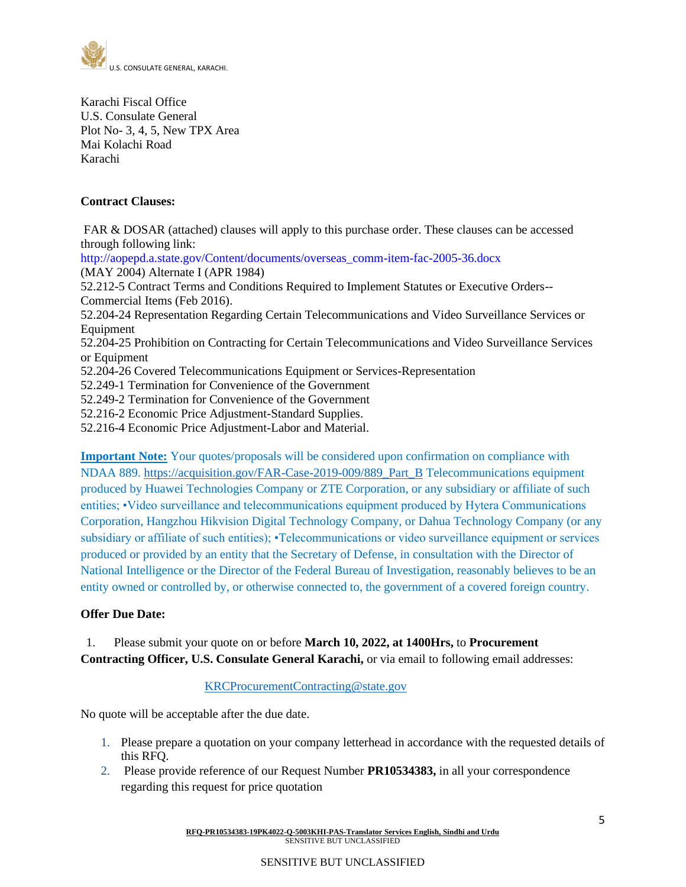

Karachi Fiscal Office U.S. Consulate General Plot No- 3, 4, 5, New TPX Area Mai Kolachi Road Karachi

# **Contract Clauses:**

FAR & DOSAR (attached) clauses will apply to this purchase order. These clauses can be accessed through following link:

http://aopepd.a.state.gov/Content/documents/overseas\_comm-item-fac-2005-36.docx (MAY 2004) Alternate I (APR 1984)

52.212-5 Contract Terms and Conditions Required to Implement Statutes or Executive Orders-- Commercial Items (Feb 2016).

52.204-24 Representation Regarding Certain Telecommunications and Video Surveillance Services or Equipment

52.204-25 Prohibition on Contracting for Certain Telecommunications and Video Surveillance Services or Equipment

52.204-26 Covered Telecommunications Equipment or Services-Representation

52.249-1 Termination for Convenience of the Government

52.249-2 Termination for Convenience of the Government

52.216-2 Economic Price Adjustment-Standard Supplies.

52.216-4 Economic Price Adjustment-Labor and Material.

**Important Note:** Your quotes/proposals will be considered upon confirmation on compliance with NDAA 889. [https://acquisition.gov/FAR-Case-2019-009/889\\_Part\\_B](https://acquisition.gov/FAR-Case-2019-009/889_Part_B) Telecommunications equipment produced by Huawei Technologies Company or ZTE Corporation, or any subsidiary or affiliate of such entities; •Video surveillance and telecommunications equipment produced by Hytera Communications Corporation, Hangzhou Hikvision Digital Technology Company, or Dahua Technology Company (or any subsidiary or affiliate of such entities); •Telecommunications or video surveillance equipment or services produced or provided by an entity that the Secretary of Defense, in consultation with the Director of National Intelligence or the Director of the Federal Bureau of Investigation, reasonably believes to be an entity owned or controlled by, or otherwise connected to, the government of a covered foreign country.

## **Offer Due Date:**

# 1. Please submit your quote on or before **March 10, 2022, at 1400Hrs,** to **Procurement**  Contracting Officer, U.S. Consulate General Karachi, or via email to following email addresses:

## [KRCProcurementContracting@state.gov](mailto:KRCProcurementContracting@state.gov)

No quote will be acceptable after the due date.

- 1. Please prepare a quotation on your company letterhead in accordance with the requested details of this RFQ.
- 2. Please provide reference of our Request Number **PR10534383,** in all your correspondence regarding this request for price quotation